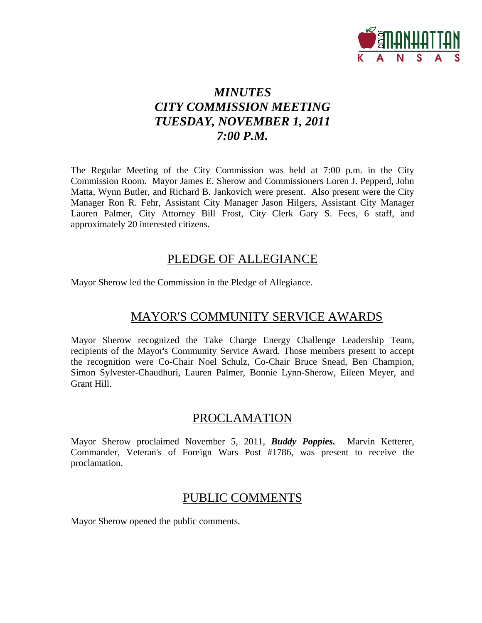

### *MINUTES CITY COMMISSION MEETING TUESDAY, NOVEMBER 1, 2011 7:00 P.M.*

The Regular Meeting of the City Commission was held at 7:00 p.m. in the City Commission Room. Mayor James E. Sherow and Commissioners Loren J. Pepperd, John Matta, Wynn Butler, and Richard B. Jankovich were present. Also present were the City Manager Ron R. Fehr, Assistant City Manager Jason Hilgers, Assistant City Manager Lauren Palmer, City Attorney Bill Frost, City Clerk Gary S. Fees, 6 staff, and approximately 20 interested citizens.

### PLEDGE OF ALLEGIANCE

Mayor Sherow led the Commission in the Pledge of Allegiance.

### MAYOR'S COMMUNITY SERVICE AWARDS

Mayor Sherow recognized the Take Charge Energy Challenge Leadership Team, recipients of the Mayor's Community Service Award. Those members present to accept the recognition were Co-Chair Noel Schulz, Co-Chair Bruce Snead, Ben Champion, Simon Sylvester-Chaudhuri, Lauren Palmer, Bonnie Lynn-Sherow, Eileen Meyer, and Grant Hill.

### PROCLAMATION

Mayor Sherow proclaimed November 5, 2011, *Buddy Poppies.* Marvin Ketterer, Commander, Veteran's of Foreign Wars Post #1786, was present to receive the proclamation.

### PUBLIC COMMENTS

Mayor Sherow opened the public comments.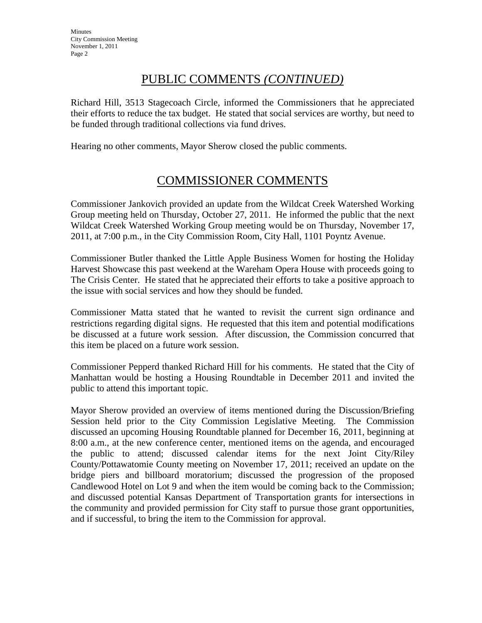### PUBLIC COMMENTS *(CONTINUED)*

Richard Hill, 3513 Stagecoach Circle, informed the Commissioners that he appreciated their efforts to reduce the tax budget. He stated that social services are worthy, but need to be funded through traditional collections via fund drives.

Hearing no other comments, Mayor Sherow closed the public comments.

### COMMISSIONER COMMENTS

Commissioner Jankovich provided an update from the Wildcat Creek Watershed Working Group meeting held on Thursday, October 27, 2011. He informed the public that the next Wildcat Creek Watershed Working Group meeting would be on Thursday, November 17, 2011, at 7:00 p.m., in the City Commission Room, City Hall, 1101 Poyntz Avenue.

Commissioner Butler thanked the Little Apple Business Women for hosting the Holiday Harvest Showcase this past weekend at the Wareham Opera House with proceeds going to The Crisis Center. He stated that he appreciated their efforts to take a positive approach to the issue with social services and how they should be funded.

Commissioner Matta stated that he wanted to revisit the current sign ordinance and restrictions regarding digital signs. He requested that this item and potential modifications be discussed at a future work session. After discussion, the Commission concurred that this item be placed on a future work session.

Commissioner Pepperd thanked Richard Hill for his comments. He stated that the City of Manhattan would be hosting a Housing Roundtable in December 2011 and invited the public to attend this important topic.

Mayor Sherow provided an overview of items mentioned during the Discussion/Briefing Session held prior to the City Commission Legislative Meeting. The Commission discussed an upcoming Housing Roundtable planned for December 16, 2011, beginning at 8:00 a.m., at the new conference center, mentioned items on the agenda, and encouraged the public to attend; discussed calendar items for the next Joint City/Riley County/Pottawatomie County meeting on November 17, 2011; received an update on the bridge piers and billboard moratorium; discussed the progression of the proposed Candlewood Hotel on Lot 9 and when the item would be coming back to the Commission; and discussed potential Kansas Department of Transportation grants for intersections in the community and provided permission for City staff to pursue those grant opportunities, and if successful, to bring the item to the Commission for approval.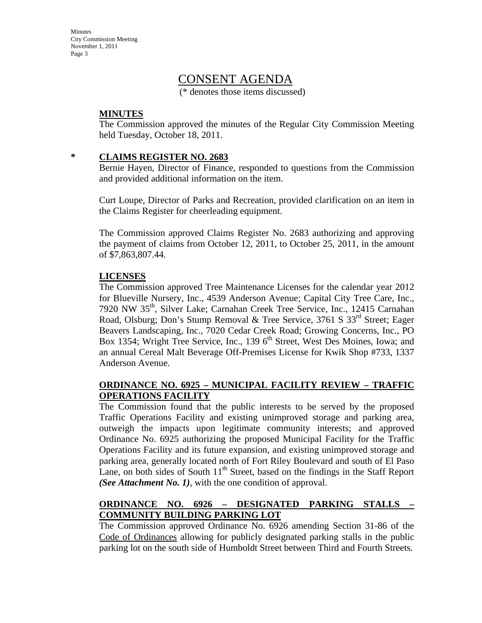Minutes City Commission Meeting November 1, 2011 Page 3

### CONSENT AGENDA

(\* denotes those items discussed)

### **MINUTES**

The Commission approved the minutes of the Regular City Commission Meeting held Tuesday, October 18, 2011.

#### **\* CLAIMS REGISTER NO. 2683**

Bernie Hayen, Director of Finance, responded to questions from the Commission and provided additional information on the item.

Curt Loupe, Director of Parks and Recreation, provided clarification on an item in the Claims Register for cheerleading equipment.

The Commission approved Claims Register No. 2683 authorizing and approving the payment of claims from October 12, 2011, to October 25, 2011, in the amount of \$7,863,807.44.

#### **LICENSES**

The Commission approved Tree Maintenance Licenses for the calendar year 2012 for Blueville Nursery, Inc., 4539 Anderson Avenue; Capital City Tree Care, Inc., 7920 NW 35th, Silver Lake; Carnahan Creek Tree Service, Inc., 12415 Carnahan Road, Olsburg; Don's Stump Removal & Tree Service, 3761 S  $33<sup>rd</sup>$  Street; Eager Beavers Landscaping, Inc., 7020 Cedar Creek Road; Growing Concerns, Inc., PO Box 1354; Wright Tree Service, Inc., 139  $6<sup>th</sup>$  Street, West Des Moines, Iowa; and an annual Cereal Malt Beverage Off-Premises License for Kwik Shop #733, 1337 Anderson Avenue.

### **ORDINANCE NO. 6925 – MUNICIPAL FACILITY REVIEW – TRAFFIC OPERATIONS FACILITY**

The Commission found that the public interests to be served by the proposed Traffic Operations Facility and existing unimproved storage and parking area, outweigh the impacts upon legitimate community interests; and approved Ordinance No. 6925 authorizing the proposed Municipal Facility for the Traffic Operations Facility and its future expansion, and existing unimproved storage and parking area, generally located north of Fort Riley Boulevard and south of El Paso Lane, on both sides of South  $11<sup>th</sup>$  Street, based on the findings in the Staff Report *(See Attachment No. 1)*, with the one condition of approval.

### **ORDINANCE NO. 6926 – DESIGNATED PARKING STALLS – COMMUNITY BUILDING PARKING LOT**

The Commission approved Ordinance No. 6926 amending Section 31-86 of the Code of Ordinances allowing for publicly designated parking stalls in the public parking lot on the south side of Humboldt Street between Third and Fourth Streets.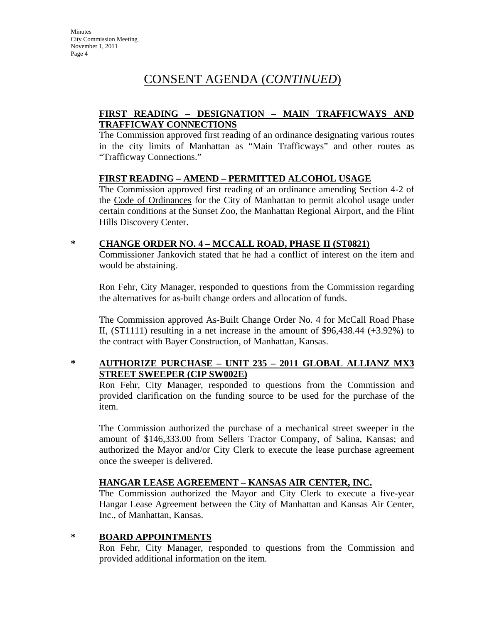### CONSENT AGENDA (*CONTINUED*)

### **FIRST READING – DESIGNATION – MAIN TRAFFICWAYS AND TRAFFICWAY CONNECTIONS**

The Commission approved first reading of an ordinance designating various routes in the city limits of Manhattan as "Main Trafficways" and other routes as "Trafficway Connections."

### **FIRST READING – AMEND – PERMITTED ALCOHOL USAGE**

The Commission approved first reading of an ordinance amending Section 4-2 of the Code of Ordinances for the City of Manhattan to permit alcohol usage under certain conditions at the Sunset Zoo, the Manhattan Regional Airport, and the Flint Hills Discovery Center.

### **\* CHANGE ORDER NO. 4 – MCCALL ROAD, PHASE II (ST0821)**

Commissioner Jankovich stated that he had a conflict of interest on the item and would be abstaining.

Ron Fehr, City Manager, responded to questions from the Commission regarding the alternatives for as-built change orders and allocation of funds.

The Commission approved As-Built Change Order No. 4 for McCall Road Phase II,  $(ST1111)$  resulting in a net increase in the amount of \$96,438.44  $(+3.92\%)$  to the contract with Bayer Construction, of Manhattan, Kansas.

### **\* AUTHORIZE PURCHASE – UNIT 235 – 2011 GLOBAL ALLIANZ MX3 STREET SWEEPER (CIP SW002E)**

Ron Fehr, City Manager, responded to questions from the Commission and provided clarification on the funding source to be used for the purchase of the item.

The Commission authorized the purchase of a mechanical street sweeper in the amount of \$146,333.00 from Sellers Tractor Company, of Salina, Kansas; and authorized the Mayor and/or City Clerk to execute the lease purchase agreement once the sweeper is delivered.

### **HANGAR LEASE AGREEMENT – KANSAS AIR CENTER, INC.**

The Commission authorized the Mayor and City Clerk to execute a five-year Hangar Lease Agreement between the City of Manhattan and Kansas Air Center, Inc., of Manhattan, Kansas.

### **\* BOARD APPOINTMENTS**

Ron Fehr, City Manager, responded to questions from the Commission and provided additional information on the item.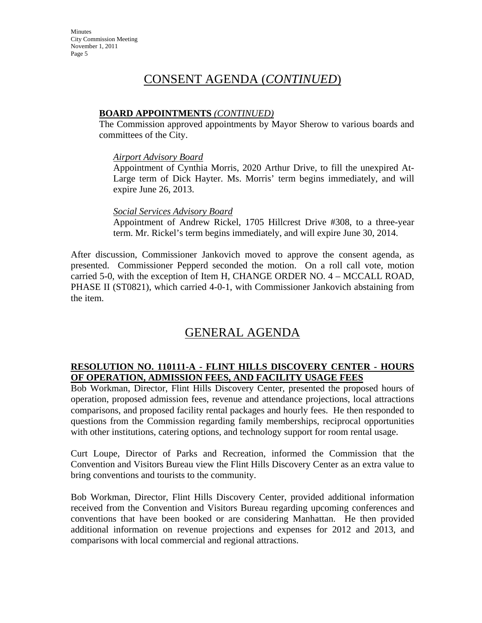### CONSENT AGENDA (*CONTINUED*)

### **BOARD APPOINTMENTS** *(CONTINUED)*

The Commission approved appointments by Mayor Sherow to various boards and committees of the City.

#### *Airport Advisory Board*

Appointment of Cynthia Morris, 2020 Arthur Drive, to fill the unexpired At-Large term of Dick Hayter. Ms. Morris' term begins immediately, and will expire June 26, 2013.

### *Social Services Advisory Board*

Appointment of Andrew Rickel, 1705 Hillcrest Drive #308, to a three-year term. Mr. Rickel's term begins immediately, and will expire June 30, 2014.

After discussion, Commissioner Jankovich moved to approve the consent agenda, as presented. Commissioner Pepperd seconded the motion. On a roll call vote, motion carried 5-0, with the exception of Item H, CHANGE ORDER NO. 4 – MCCALL ROAD, PHASE II (ST0821), which carried 4-0-1, with Commissioner Jankovich abstaining from the item.

### GENERAL AGENDA

### **RESOLUTION NO. 110111-A - FLINT HILLS DISCOVERY CENTER - HOURS OF OPERATION, ADMISSION FEES, AND FACILITY USAGE FEES**

Bob Workman, Director, Flint Hills Discovery Center, presented the proposed hours of operation, proposed admission fees, revenue and attendance projections, local attractions comparisons, and proposed facility rental packages and hourly fees. He then responded to questions from the Commission regarding family memberships, reciprocal opportunities with other institutions, catering options, and technology support for room rental usage.

Curt Loupe, Director of Parks and Recreation, informed the Commission that the Convention and Visitors Bureau view the Flint Hills Discovery Center as an extra value to bring conventions and tourists to the community.

Bob Workman, Director, Flint Hills Discovery Center, provided additional information received from the Convention and Visitors Bureau regarding upcoming conferences and conventions that have been booked or are considering Manhattan. He then provided additional information on revenue projections and expenses for 2012 and 2013, and comparisons with local commercial and regional attractions.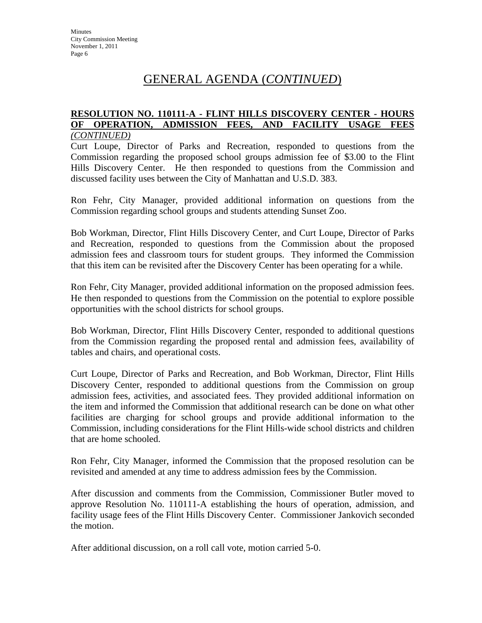### GENERAL AGENDA (*CONTINUED*)

#### **RESOLUTION NO. 110111-A - FLINT HILLS DISCOVERY CENTER - HOURS OF OPERATION, ADMISSION FEES, AND FACILITY USAGE FEES** *(CONTINUED)*

Curt Loupe, Director of Parks and Recreation, responded to questions from the Commission regarding the proposed school groups admission fee of \$3.00 to the Flint Hills Discovery Center. He then responded to questions from the Commission and discussed facility uses between the City of Manhattan and U.S.D. 383.

Ron Fehr, City Manager, provided additional information on questions from the Commission regarding school groups and students attending Sunset Zoo.

Bob Workman, Director, Flint Hills Discovery Center, and Curt Loupe, Director of Parks and Recreation, responded to questions from the Commission about the proposed admission fees and classroom tours for student groups. They informed the Commission that this item can be revisited after the Discovery Center has been operating for a while.

Ron Fehr, City Manager, provided additional information on the proposed admission fees. He then responded to questions from the Commission on the potential to explore possible opportunities with the school districts for school groups.

Bob Workman, Director, Flint Hills Discovery Center, responded to additional questions from the Commission regarding the proposed rental and admission fees, availability of tables and chairs, and operational costs.

Curt Loupe, Director of Parks and Recreation, and Bob Workman, Director, Flint Hills Discovery Center, responded to additional questions from the Commission on group admission fees, activities, and associated fees. They provided additional information on the item and informed the Commission that additional research can be done on what other facilities are charging for school groups and provide additional information to the Commission, including considerations for the Flint Hills-wide school districts and children that are home schooled.

Ron Fehr, City Manager, informed the Commission that the proposed resolution can be revisited and amended at any time to address admission fees by the Commission.

After discussion and comments from the Commission, Commissioner Butler moved to approve Resolution No. 110111-A establishing the hours of operation, admission, and facility usage fees of the Flint Hills Discovery Center. Commissioner Jankovich seconded the motion.

After additional discussion, on a roll call vote, motion carried 5-0.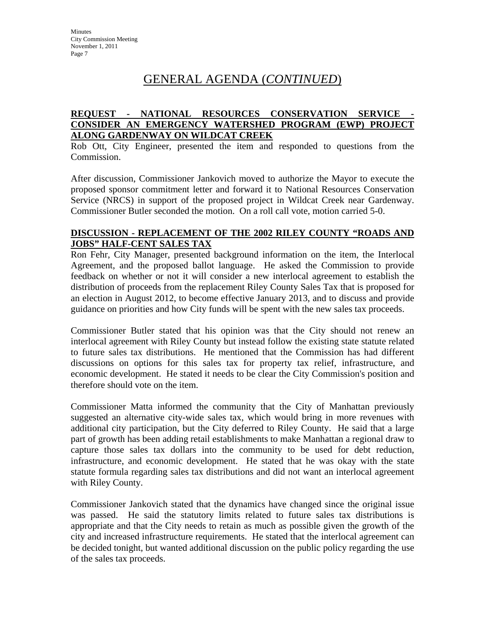### GENERAL AGENDA (*CONTINUED*)

#### **REQUEST - NATIONAL RESOURCES CONSERVATION SERVICE - CONSIDER AN EMERGENCY WATERSHED PROGRAM (EWP) PROJECT ALONG GARDENWAY ON WILDCAT CREEK**

Rob Ott, City Engineer, presented the item and responded to questions from the Commission.

After discussion, Commissioner Jankovich moved to authorize the Mayor to execute the proposed sponsor commitment letter and forward it to National Resources Conservation Service (NRCS) in support of the proposed project in Wildcat Creek near Gardenway. Commissioner Butler seconded the motion. On a roll call vote, motion carried 5-0.

#### **DISCUSSION - REPLACEMENT OF THE 2002 RILEY COUNTY "ROADS AND JOBS" HALF-CENT SALES TAX**

Ron Fehr, City Manager, presented background information on the item, the Interlocal Agreement, and the proposed ballot language. He asked the Commission to provide feedback on whether or not it will consider a new interlocal agreement to establish the distribution of proceeds from the replacement Riley County Sales Tax that is proposed for an election in August 2012, to become effective January 2013, and to discuss and provide guidance on priorities and how City funds will be spent with the new sales tax proceeds.

Commissioner Butler stated that his opinion was that the City should not renew an interlocal agreement with Riley County but instead follow the existing state statute related to future sales tax distributions. He mentioned that the Commission has had different discussions on options for this sales tax for property tax relief, infrastructure, and economic development. He stated it needs to be clear the City Commission's position and therefore should vote on the item.

Commissioner Matta informed the community that the City of Manhattan previously suggested an alternative city-wide sales tax, which would bring in more revenues with additional city participation, but the City deferred to Riley County. He said that a large part of growth has been adding retail establishments to make Manhattan a regional draw to capture those sales tax dollars into the community to be used for debt reduction, infrastructure, and economic development. He stated that he was okay with the state statute formula regarding sales tax distributions and did not want an interlocal agreement with Riley County.

Commissioner Jankovich stated that the dynamics have changed since the original issue was passed. He said the statutory limits related to future sales tax distributions is appropriate and that the City needs to retain as much as possible given the growth of the city and increased infrastructure requirements. He stated that the interlocal agreement can be decided tonight, but wanted additional discussion on the public policy regarding the use of the sales tax proceeds.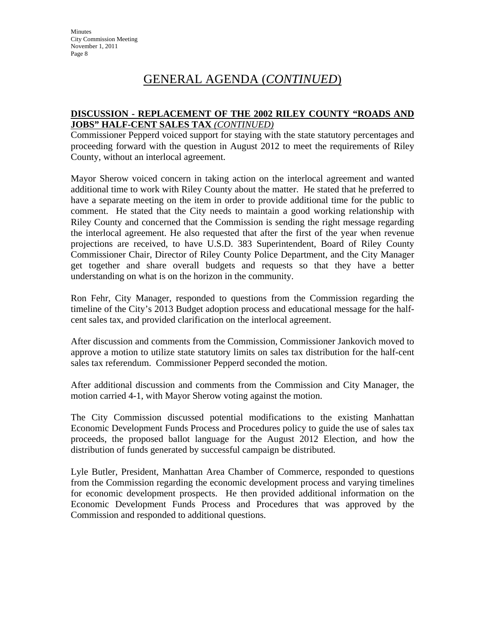### GENERAL AGENDA (*CONTINUED*)

### **DISCUSSION - REPLACEMENT OF THE 2002 RILEY COUNTY "ROADS AND JOBS" HALF-CENT SALES TAX** *(CONTINUED)*

Commissioner Pepperd voiced support for staying with the state statutory percentages and proceeding forward with the question in August 2012 to meet the requirements of Riley County, without an interlocal agreement.

Mayor Sherow voiced concern in taking action on the interlocal agreement and wanted additional time to work with Riley County about the matter. He stated that he preferred to have a separate meeting on the item in order to provide additional time for the public to comment. He stated that the City needs to maintain a good working relationship with Riley County and concerned that the Commission is sending the right message regarding the interlocal agreement. He also requested that after the first of the year when revenue projections are received, to have U.S.D. 383 Superintendent, Board of Riley County Commissioner Chair, Director of Riley County Police Department, and the City Manager get together and share overall budgets and requests so that they have a better understanding on what is on the horizon in the community.

Ron Fehr, City Manager, responded to questions from the Commission regarding the timeline of the City's 2013 Budget adoption process and educational message for the halfcent sales tax, and provided clarification on the interlocal agreement.

After discussion and comments from the Commission, Commissioner Jankovich moved to approve a motion to utilize state statutory limits on sales tax distribution for the half-cent sales tax referendum.Commissioner Pepperd seconded the motion.

After additional discussion and comments from the Commission and City Manager, the motion carried 4-1, with Mayor Sherow voting against the motion.

The City Commission discussed potential modifications to the existing Manhattan Economic Development Funds Process and Procedures policy to guide the use of sales tax proceeds, the proposed ballot language for the August 2012 Election, and how the distribution of funds generated by successful campaign be distributed.

Lyle Butler, President, Manhattan Area Chamber of Commerce, responded to questions from the Commission regarding the economic development process and varying timelines for economic development prospects. He then provided additional information on the Economic Development Funds Process and Procedures that was approved by the Commission and responded to additional questions.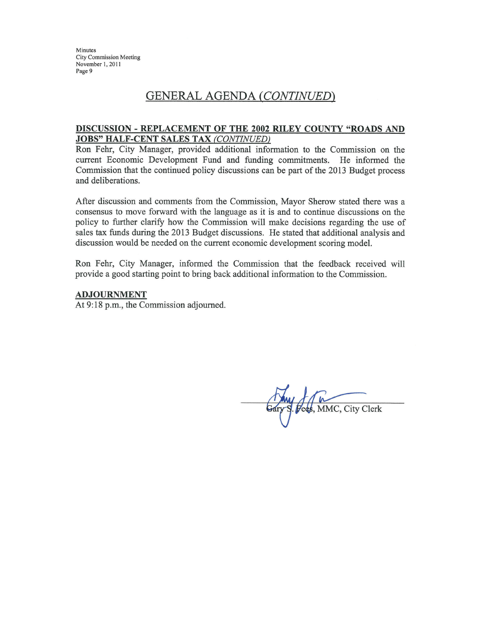Minutes **City Commission Meeting** November 1, 2011 Page 9

### GENERAL AGENDA (CONTINUED)

#### DISCUSSION - REPLACEMENT OF THE 2002 RILEY COUNTY "ROADS AND **JOBS" HALF-CENT SALES TAX (CONTINUED)**

Ron Fehr, City Manager, provided additional information to the Commission on the current Economic Development Fund and funding commitments. He informed the Commission that the continued policy discussions can be part of the 2013 Budget process and deliberations.

After discussion and comments from the Commission, Mayor Sherow stated there was a consensus to move forward with the language as it is and to continue discussions on the policy to further clarify how the Commission will make decisions regarding the use of sales tax funds during the 2013 Budget discussions. He stated that additional analysis and discussion would be needed on the current economic development scoring model.

Ron Fehr, City Manager, informed the Commission that the feedback received will provide a good starting point to bring back additional information to the Commission.

#### **ADJOURNMENT**

At 9:18 p.m., the Commission adjourned.

ees, MMC, City Clerk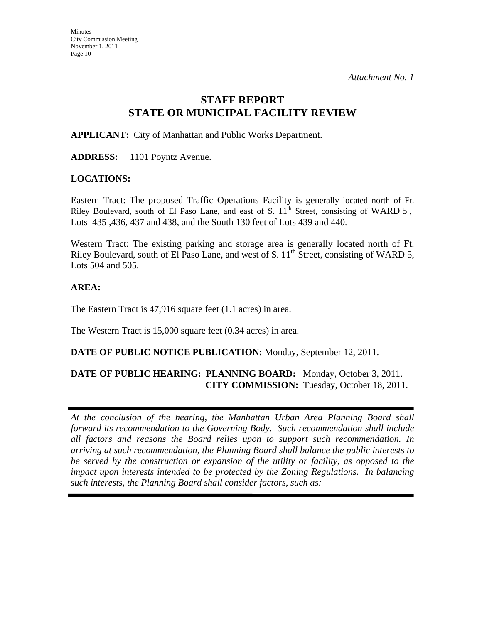### **STAFF REPORT STATE OR MUNICIPAL FACILITY REVIEW**

**APPLICANT:** City of Manhattan and Public Works Department.

**ADDRESS:** 1101 Poyntz Avenue.

#### **LOCATIONS:**

Eastern Tract: The proposed Traffic Operations Facility is generally located north of Ft. Riley Boulevard, south of El Paso Lane, and east of S.  $11<sup>th</sup>$  Street, consisting of WARD 5, Lots 435 ,436, 437 and 438, and the South 130 feet of Lots 439 and 440.

Western Tract: The existing parking and storage area is generally located north of Ft. Riley Boulevard, south of El Paso Lane, and west of S.  $11^{th}$  Street, consisting of WARD 5, Lots 504 and 505.

### **AREA:**

The Eastern Tract is 47,916 square feet (1.1 acres) in area.

The Western Tract is 15,000 square feet (0.34 acres) in area.

### **DATE OF PUBLIC NOTICE PUBLICATION:** Monday, September 12, 2011.

### **DATE OF PUBLIC HEARING: PLANNING BOARD:** Monday, October 3, 2011. **CITY COMMISSION:** Tuesday, October 18, 2011.

*At the conclusion of the hearing, the Manhattan Urban Area Planning Board shall forward its recommendation to the Governing Body. Such recommendation shall include all factors and reasons the Board relies upon to support such recommendation. In arriving at such recommendation, the Planning Board shall balance the public interests to be served by the construction or expansion of the utility or facility, as opposed to the impact upon interests intended to be protected by the Zoning Regulations. In balancing such interests, the Planning Board shall consider factors, such as:*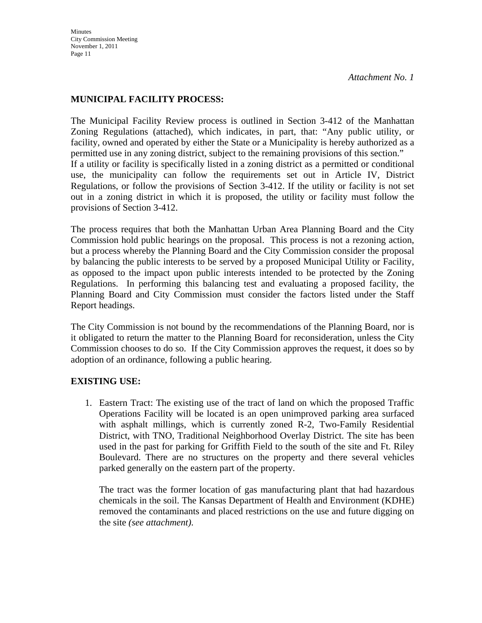### **MUNICIPAL FACILITY PROCESS:**

The Municipal Facility Review process is outlined in Section 3-412 of the Manhattan Zoning Regulations (attached), which indicates, in part, that: "Any public utility, or facility, owned and operated by either the State or a Municipality is hereby authorized as a permitted use in any zoning district, subject to the remaining provisions of this section." If a utility or facility is specifically listed in a zoning district as a permitted or conditional use, the municipality can follow the requirements set out in Article IV, District Regulations, or follow the provisions of Section 3-412. If the utility or facility is not set out in a zoning district in which it is proposed, the utility or facility must follow the provisions of Section 3-412.

The process requires that both the Manhattan Urban Area Planning Board and the City Commission hold public hearings on the proposal. This process is not a rezoning action, but a process whereby the Planning Board and the City Commission consider the proposal by balancing the public interests to be served by a proposed Municipal Utility or Facility, as opposed to the impact upon public interests intended to be protected by the Zoning Regulations. In performing this balancing test and evaluating a proposed facility, the Planning Board and City Commission must consider the factors listed under the Staff Report headings.

The City Commission is not bound by the recommendations of the Planning Board, nor is it obligated to return the matter to the Planning Board for reconsideration, unless the City Commission chooses to do so. If the City Commission approves the request, it does so by adoption of an ordinance, following a public hearing.

### **EXISTING USE:**

1. Eastern Tract: The existing use of the tract of land on which the proposed Traffic Operations Facility will be located is an open unimproved parking area surfaced with asphalt millings, which is currently zoned R-2, Two-Family Residential District, with TNO, Traditional Neighborhood Overlay District. The site has been used in the past for parking for Griffith Field to the south of the site and Ft. Riley Boulevard. There are no structures on the property and there several vehicles parked generally on the eastern part of the property.

The tract was the former location of gas manufacturing plant that had hazardous chemicals in the soil. The Kansas Department of Health and Environment (KDHE) removed the contaminants and placed restrictions on the use and future digging on the site *(see attachment)*.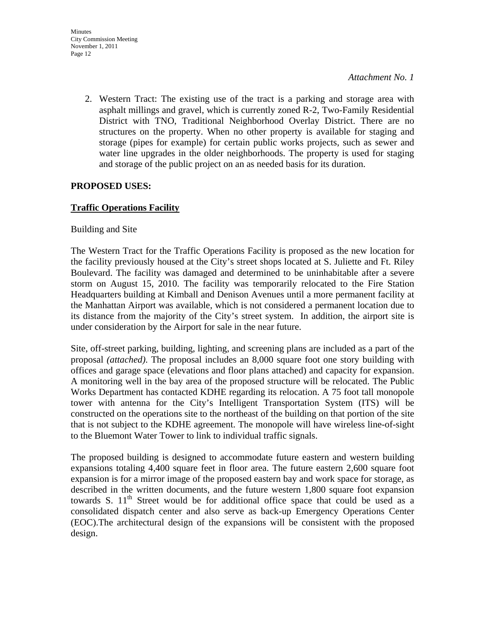2. Western Tract: The existing use of the tract is a parking and storage area with asphalt millings and gravel, which is currently zoned R-2, Two-Family Residential District with TNO, Traditional Neighborhood Overlay District. There are no structures on the property. When no other property is available for staging and storage (pipes for example) for certain public works projects, such as sewer and water line upgrades in the older neighborhoods. The property is used for staging and storage of the public project on an as needed basis for its duration.

### **PROPOSED USES:**

### **Traffic Operations Facility**

#### Building and Site

The Western Tract for the Traffic Operations Facility is proposed as the new location for the facility previously housed at the City's street shops located at S. Juliette and Ft. Riley Boulevard. The facility was damaged and determined to be uninhabitable after a severe storm on August 15, 2010. The facility was temporarily relocated to the Fire Station Headquarters building at Kimball and Denison Avenues until a more permanent facility at the Manhattan Airport was available, which is not considered a permanent location due to its distance from the majority of the City's street system. In addition, the airport site is under consideration by the Airport for sale in the near future.

Site, off-street parking, building, lighting, and screening plans are included as a part of the proposal *(attached)*. The proposal includes an 8,000 square foot one story building with offices and garage space (elevations and floor plans attached) and capacity for expansion. A monitoring well in the bay area of the proposed structure will be relocated. The Public Works Department has contacted KDHE regarding its relocation. A 75 foot tall monopole tower with antenna for the City's Intelligent Transportation System (ITS) will be constructed on the operations site to the northeast of the building on that portion of the site that is not subject to the KDHE agreement. The monopole will have wireless line-of-sight to the Bluemont Water Tower to link to individual traffic signals.

The proposed building is designed to accommodate future eastern and western building expansions totaling 4,400 square feet in floor area. The future eastern 2,600 square foot expansion is for a mirror image of the proposed eastern bay and work space for storage, as described in the written documents, and the future western 1,800 square foot expansion towards S.  $11<sup>th</sup>$  Street would be for additional office space that could be used as a consolidated dispatch center and also serve as back-up Emergency Operations Center (EOC).The architectural design of the expansions will be consistent with the proposed design.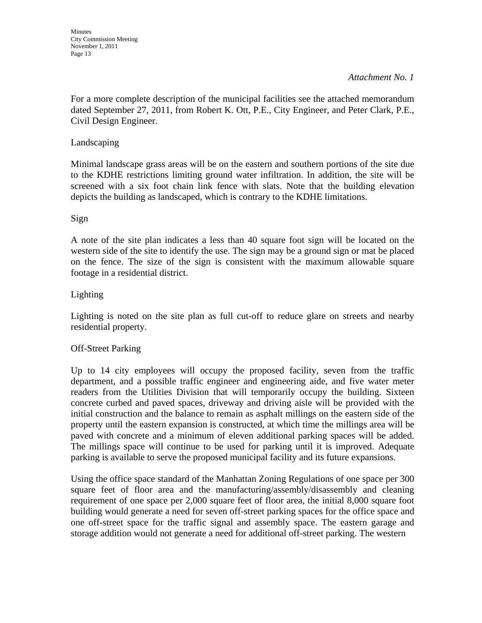For a more complete description of the municipal facilities see the attached memorandum dated September 27, 2011, from Robert K. Ott, P.E., City Engineer, and Peter Clark, P.E., Civil Design Engineer.

### Landscaping

Minimal landscape grass areas will be on the eastern and southern portions of the site due to the KDHE restrictions limiting ground water infiltration. In addition, the site will be screened with a six foot chain link fence with slats. Note that the building elevation depicts the building as landscaped, which is contrary to the KDHE limitations.

### Sign

A note of the site plan indicates a less than 40 square foot sign will be located on the western side of the site to identify the use. The sign may be a ground sign or mat be placed on the fence. The size of the sign is consistent with the maximum allowable square footage in a residential district.

### Lighting

Lighting is noted on the site plan as full cut-off to reduce glare on streets and nearby residential property.

### Off-Street Parking

Up to 14 city employees will occupy the proposed facility, seven from the traffic department, and a possible traffic engineer and engineering aide, and five water meter readers from the Utilities Division that will temporarily occupy the building. Sixteen concrete curbed and paved spaces, driveway and driving aisle will be provided with the initial construction and the balance to remain as asphalt millings on the eastern side of the property until the eastern expansion is constructed, at which time the millings area will be paved with concrete and a minimum of eleven additional parking spaces will be added. The millings space will continue to be used for parking until it is improved. Adequate parking is available to serve the proposed municipal facility and its future expansions.

Using the office space standard of the Manhattan Zoning Regulations of one space per 300 square feet of floor area and the manufacturing/assembly/disassembly and cleaning requirement of one space per 2,000 square feet of floor area, the initial 8,000 square foot building would generate a need for seven off-street parking spaces for the office space and one off-street space for the traffic signal and assembly space. The eastern garage and storage addition would not generate a need for additional off-street parking. The western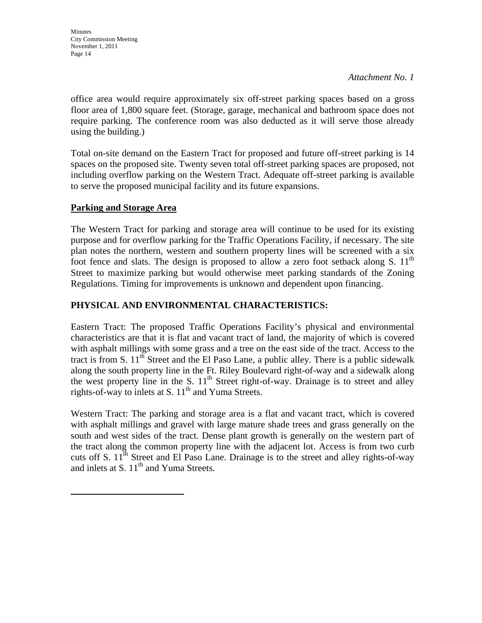office area would require approximately six off-street parking spaces based on a gross floor area of 1,800 square feet. (Storage, garage, mechanical and bathroom space does not require parking. The conference room was also deducted as it will serve those already using the building.)

Total on-site demand on the Eastern Tract for proposed and future off-street parking is 14 spaces on the proposed site. Twenty seven total off-street parking spaces are proposed, not including overflow parking on the Western Tract. Adequate off-street parking is available to serve the proposed municipal facility and its future expansions.

### **Parking and Storage Area**

The Western Tract for parking and storage area will continue to be used for its existing purpose and for overflow parking for the Traffic Operations Facility, if necessary. The site plan notes the northern, western and southern property lines will be screened with a six foot fence and slats. The design is proposed to allow a zero foot setback along S.  $11<sup>th</sup>$ Street to maximize parking but would otherwise meet parking standards of the Zoning Regulations. Timing for improvements is unknown and dependent upon financing.

### **PHYSICAL AND ENVIRONMENTAL CHARACTERISTICS:**

Eastern Tract: The proposed Traffic Operations Facility's physical and environmental characteristics are that it is flat and vacant tract of land, the majority of which is covered with asphalt millings with some grass and a tree on the east side of the tract. Access to the tract is from S.  $11<sup>th</sup>$  Street and the El Paso Lane, a public alley. There is a public sidewalk along the south property line in the Ft. Riley Boulevard right-of-way and a sidewalk along the west property line in the S.  $11<sup>th</sup>$  Street right-of-way. Drainage is to street and alley rights-of-way to inlets at S.  $11<sup>th</sup>$  and Yuma Streets.

Western Tract: The parking and storage area is a flat and vacant tract, which is covered with asphalt millings and gravel with large mature shade trees and grass generally on the south and west sides of the tract. Dense plant growth is generally on the western part of the tract along the common property line with the adjacent lot. Access is from two curb cuts off S.  $11<sup>th</sup>$  Street and El Paso Lane. Drainage is to the street and alley rights-of-way and inlets at S.  $11<sup>th</sup>$  and Yuma Streets.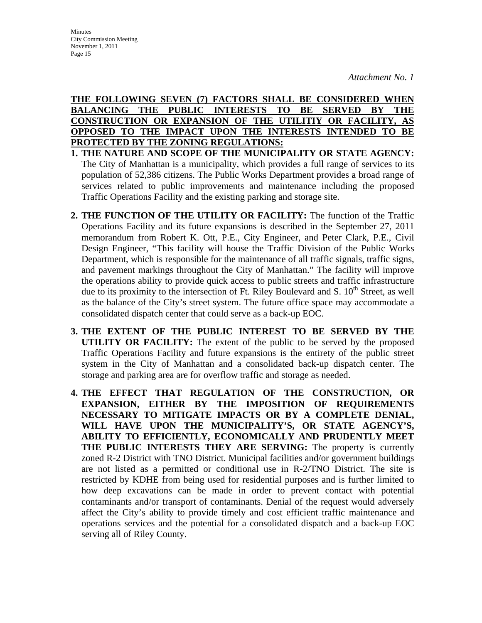### **THE FOLLOWING SEVEN (7) FACTORS SHALL BE CONSIDERED WHEN BALANCING THE PUBLIC INTERESTS TO BE SERVED BY THE CONSTRUCTION OR EXPANSION OF THE UTILITIY OR FACILITY, AS OPPOSED TO THE IMPACT UPON THE INTERESTS INTENDED TO BE PROTECTED BY THE ZONING REGULATIONS:**

- **1. THE NATURE AND SCOPE OF THE MUNICIPALITY OR STATE AGENCY:**  The City of Manhattan is a municipality, which provides a full range of services to its population of 52,386 citizens. The Public Works Department provides a broad range of services related to public improvements and maintenance including the proposed Traffic Operations Facility and the existing parking and storage site.
- **2. THE FUNCTION OF THE UTILITY OR FACILITY:** The function of the Traffic Operations Facility and its future expansions is described in the September 27, 2011 memorandum from Robert K. Ott, P.E., City Engineer, and Peter Clark, P.E., Civil Design Engineer, "This facility will house the Traffic Division of the Public Works Department, which is responsible for the maintenance of all traffic signals, traffic signs, and pavement markings throughout the City of Manhattan." The facility will improve the operations ability to provide quick access to public streets and traffic infrastructure due to its proximity to the intersection of Ft. Riley Boulevard and S.  $10<sup>th</sup>$  Street, as well as the balance of the City's street system. The future office space may accommodate a consolidated dispatch center that could serve as a back-up EOC.
- **3. THE EXTENT OF THE PUBLIC INTEREST TO BE SERVED BY THE UTILITY OR FACILITY:** The extent of the public to be served by the proposed Traffic Operations Facility and future expansions is the entirety of the public street system in the City of Manhattan and a consolidated back-up dispatch center. The storage and parking area are for overflow traffic and storage as needed.
- **4. THE EFFECT THAT REGULATION OF THE CONSTRUCTION, OR EXPANSION, EITHER BY THE IMPOSITION OF REQUIREMENTS NECESSARY TO MITIGATE IMPACTS OR BY A COMPLETE DENIAL, WILL HAVE UPON THE MUNICIPALITY'S, OR STATE AGENCY'S, ABILITY TO EFFICIENTLY, ECONOMICALLY AND PRUDENTLY MEET THE PUBLIC INTERESTS THEY ARE SERVING:** The property is currently zoned R-2 District with TNO District. Municipal facilities and/or government buildings are not listed as a permitted or conditional use in R-2/TNO District. The site is restricted by KDHE from being used for residential purposes and is further limited to how deep excavations can be made in order to prevent contact with potential contaminants and/or transport of contaminants. Denial of the request would adversely affect the City's ability to provide timely and cost efficient traffic maintenance and operations services and the potential for a consolidated dispatch and a back-up EOC serving all of Riley County.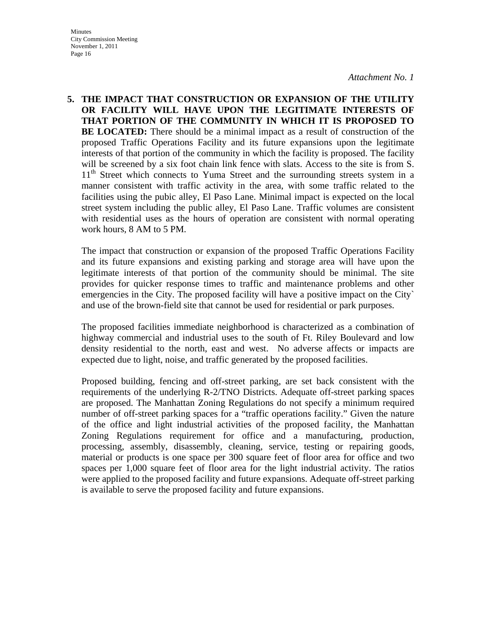**Minutes** City Commission Meeting November 1, 2011 Page 16

*Attachment No. 1*

**5. THE IMPACT THAT CONSTRUCTION OR EXPANSION OF THE UTILITY OR FACILITY WILL HAVE UPON THE LEGITIMATE INTERESTS OF THAT PORTION OF THE COMMUNITY IN WHICH IT IS PROPOSED TO BE LOCATED:** There should be a minimal impact as a result of construction of the proposed Traffic Operations Facility and its future expansions upon the legitimate interests of that portion of the community in which the facility is proposed. The facility will be screened by a six foot chain link fence with slats. Access to the site is from S. 11<sup>th</sup> Street which connects to Yuma Street and the surrounding streets system in a manner consistent with traffic activity in the area, with some traffic related to the facilities using the pubic alley, El Paso Lane. Minimal impact is expected on the local street system including the public alley, El Paso Lane. Traffic volumes are consistent with residential uses as the hours of operation are consistent with normal operating work hours, 8 AM to 5 PM.

 The impact that construction or expansion of the proposed Traffic Operations Facility and its future expansions and existing parking and storage area will have upon the legitimate interests of that portion of the community should be minimal. The site provides for quicker response times to traffic and maintenance problems and other emergencies in the City. The proposed facility will have a positive impact on the City` and use of the brown-field site that cannot be used for residential or park purposes.

 The proposed facilities immediate neighborhood is characterized as a combination of highway commercial and industrial uses to the south of Ft. Riley Boulevard and low density residential to the north, east and west. No adverse affects or impacts are expected due to light, noise, and traffic generated by the proposed facilities.

 Proposed building, fencing and off-street parking, are set back consistent with the requirements of the underlying R-2/TNO Districts. Adequate off-street parking spaces are proposed. The Manhattan Zoning Regulations do not specify a minimum required number of off-street parking spaces for a "traffic operations facility." Given the nature of the office and light industrial activities of the proposed facility, the Manhattan Zoning Regulations requirement for office and a manufacturing, production, processing, assembly, disassembly, cleaning, service, testing or repairing goods, material or products is one space per 300 square feet of floor area for office and two spaces per 1,000 square feet of floor area for the light industrial activity. The ratios were applied to the proposed facility and future expansions. Adequate off-street parking is available to serve the proposed facility and future expansions.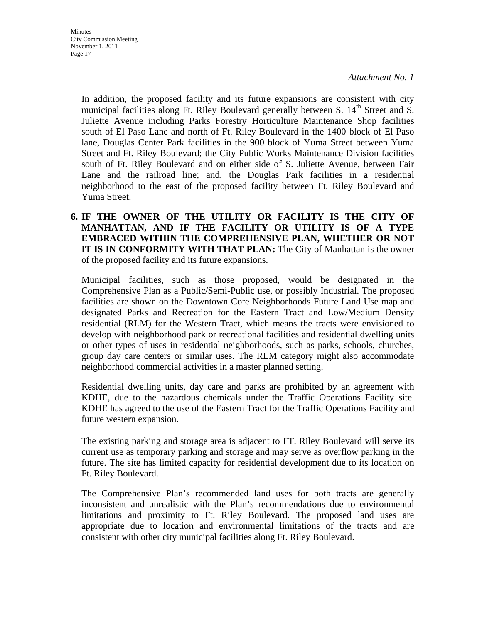In addition, the proposed facility and its future expansions are consistent with city municipal facilities along Ft. Riley Boulevard generally between S.  $14<sup>th</sup>$  Street and S. Juliette Avenue including Parks Forestry Horticulture Maintenance Shop facilities south of El Paso Lane and north of Ft. Riley Boulevard in the 1400 block of El Paso lane, Douglas Center Park facilities in the 900 block of Yuma Street between Yuma Street and Ft. Riley Boulevard; the City Public Works Maintenance Division facilities south of Ft. Riley Boulevard and on either side of S. Juliette Avenue, between Fair Lane and the railroad line; and, the Douglas Park facilities in a residential neighborhood to the east of the proposed facility between Ft. Riley Boulevard and Yuma Street.

**6. IF THE OWNER OF THE UTILITY OR FACILITY IS THE CITY OF MANHATTAN, AND IF THE FACILITY OR UTILITY IS OF A TYPE EMBRACED WITHIN THE COMPREHENSIVE PLAN, WHETHER OR NOT IT IS IN CONFORMITY WITH THAT PLAN:** The City of Manhattan is the owner of the proposed facility and its future expansions.

 Municipal facilities, such as those proposed, would be designated in the Comprehensive Plan as a Public/Semi-Public use, or possibly Industrial. The proposed facilities are shown on the Downtown Core Neighborhoods Future Land Use map and designated Parks and Recreation for the Eastern Tract and Low/Medium Density residential (RLM) for the Western Tract, which means the tracts were envisioned to develop with neighborhood park or recreational facilities and residential dwelling units or other types of uses in residential neighborhoods, such as parks, schools, churches, group day care centers or similar uses. The RLM category might also accommodate neighborhood commercial activities in a master planned setting.

 Residential dwelling units, day care and parks are prohibited by an agreement with KDHE, due to the hazardous chemicals under the Traffic Operations Facility site. KDHE has agreed to the use of the Eastern Tract for the Traffic Operations Facility and future western expansion.

 The existing parking and storage area is adjacent to FT. Riley Boulevard will serve its current use as temporary parking and storage and may serve as overflow parking in the future. The site has limited capacity for residential development due to its location on Ft. Riley Boulevard.

 The Comprehensive Plan's recommended land uses for both tracts are generally inconsistent and unrealistic with the Plan's recommendations due to environmental limitations and proximity to Ft. Riley Boulevard. The proposed land uses are appropriate due to location and environmental limitations of the tracts and are consistent with other city municipal facilities along Ft. Riley Boulevard.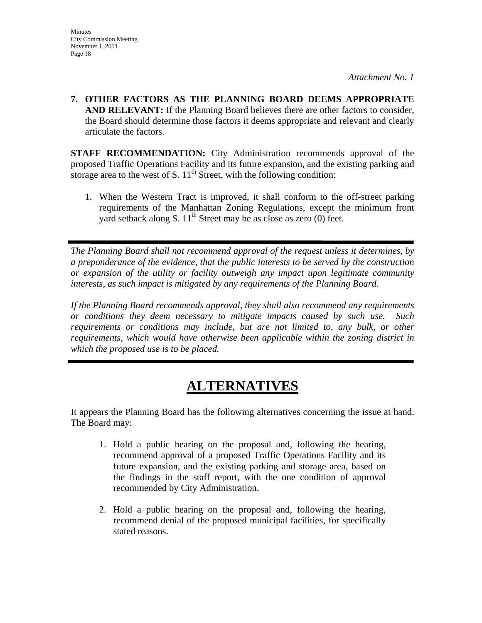**Minutes** 

*Attachment No. 1*

**7. OTHER FACTORS AS THE PLANNING BOARD DEEMS APPROPRIATE AND RELEVANT:** If the Planning Board believes there are other factors to consider, the Board should determine those factors it deems appropriate and relevant and clearly articulate the factors.

**STAFF RECOMMENDATION:** City Administration recommends approval of the proposed Traffic Operations Facility and its future expansion, and the existing parking and storage area to the west of S.  $11<sup>th</sup>$  Street, with the following condition:

1. When the Western Tract is improved, it shall conform to the off-street parking requirements of the Manhattan Zoning Regulations, except the minimum front yard setback along S.  $11<sup>th</sup>$  Street may be as close as zero (0) feet.

*The Planning Board shall not recommend approval of the request unless it determines, by a preponderance of the evidence, that the public interests to be served by the construction or expansion of the utility or facility outweigh any impact upon legitimate community interests, as such impact is mitigated by any requirements of the Planning Board.* 

*If the Planning Board recommends approval, they shall also recommend any requirements or conditions they deem necessary to mitigate impacts caused by such use. Such requirements or conditions may include, but are not limited to, any bulk, or other requirements, which would have otherwise been applicable within the zoning district in which the proposed use is to be placed.* 

# **ALTERNATIVES**

It appears the Planning Board has the following alternatives concerning the issue at hand. The Board may:

- 1. Hold a public hearing on the proposal and, following the hearing, recommend approval of a proposed Traffic Operations Facility and its future expansion, and the existing parking and storage area, based on the findings in the staff report, with the one condition of approval recommended by City Administration.
- 2. Hold a public hearing on the proposal and, following the hearing, recommend denial of the proposed municipal facilities, for specifically stated reasons.